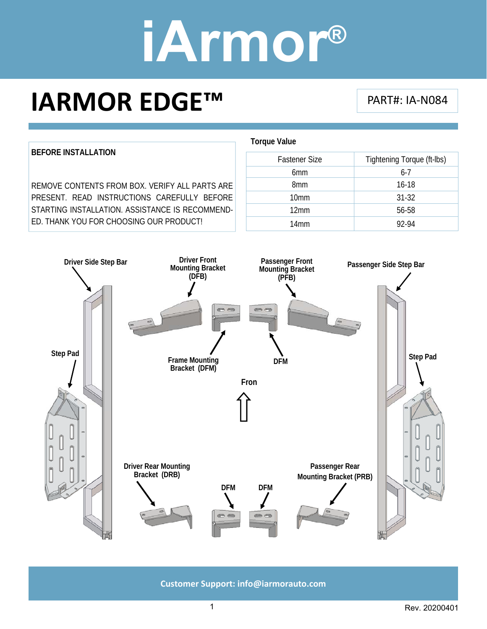### **IARMOR EDGE™**

PART#: IA‐N084



**Customer Support: info@iarmorauto.com** 

1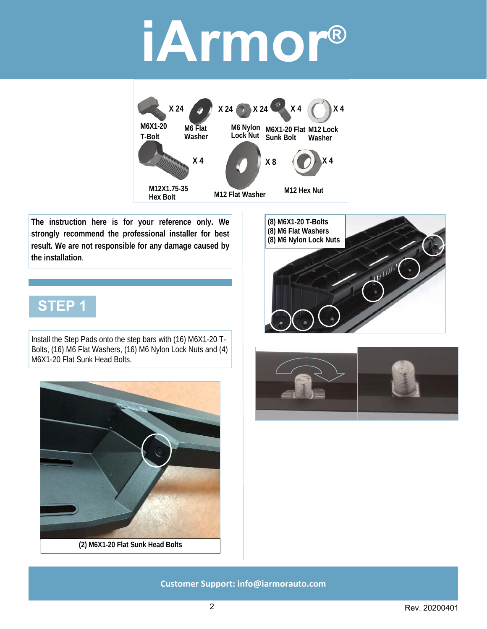

**(8) M6X1-20 T-Bolts (8) M6 Flat Washers (8) M6 Nylon Lock Nuts** 

**The instruction here is for your reference only. We strongly recommend the professional installer for best result. We are not responsible for any damage caused by the installation**.

#### **STEP 1**

Install the Step Pads onto the step bars with (16) M6X1-20 T-Bolts, (16) M6 Flat Washers, (16) M6 Nylon Lock Nuts and (4) M6X1-20 Flat Sunk Head Bolts.







**Customer Support: info@iarmorauto.com**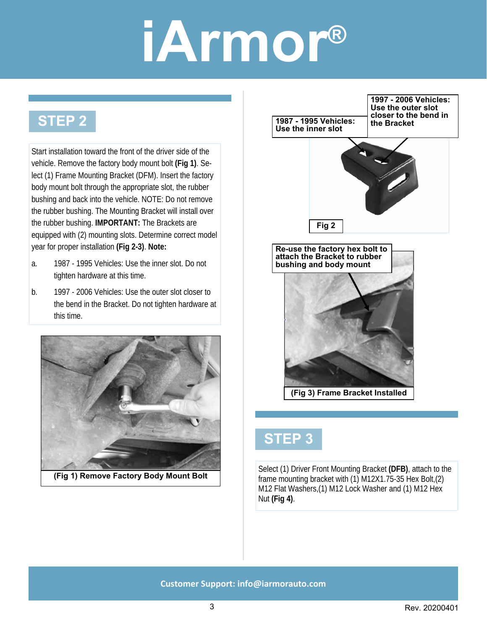#### **STEP 2**

Start installation toward the front of the driver side of the vehicle. Remove the factory body mount bolt **(Fig 1)**. Select (1) Frame Mounting Bracket (DFM). Insert the factory body mount bolt through the appropriate slot, the rubber bushing and back into the vehicle. NOTE: Do not remove the rubber bushing. The Mounting Bracket will install over the rubber bushing. **IMPORTANT:** The Brackets are equipped with (2) mounting slots. Determine correct model year for proper installation **(Fig 2-3)**. **Note:** 

- a. 1987 1995 Vehicles: Use the inner slot. Do not tighten hardware at this time.
- b. 1997 2006 Vehicles: Use the outer slot closer to the bend in the Bracket. Do not tighten hardware at this time.





#### **STEP 3**

Select (1) Driver Front Mounting Bracket **(DFB)**, attach to the frame mounting bracket with (1) M12X1.75-35 Hex Bolt,(2) M12 Flat Washers,(1) M12 Lock Washer and (1) M12 Hex Nut **(Fig 4)**.

**Customer Support: info@iarmorauto.com**